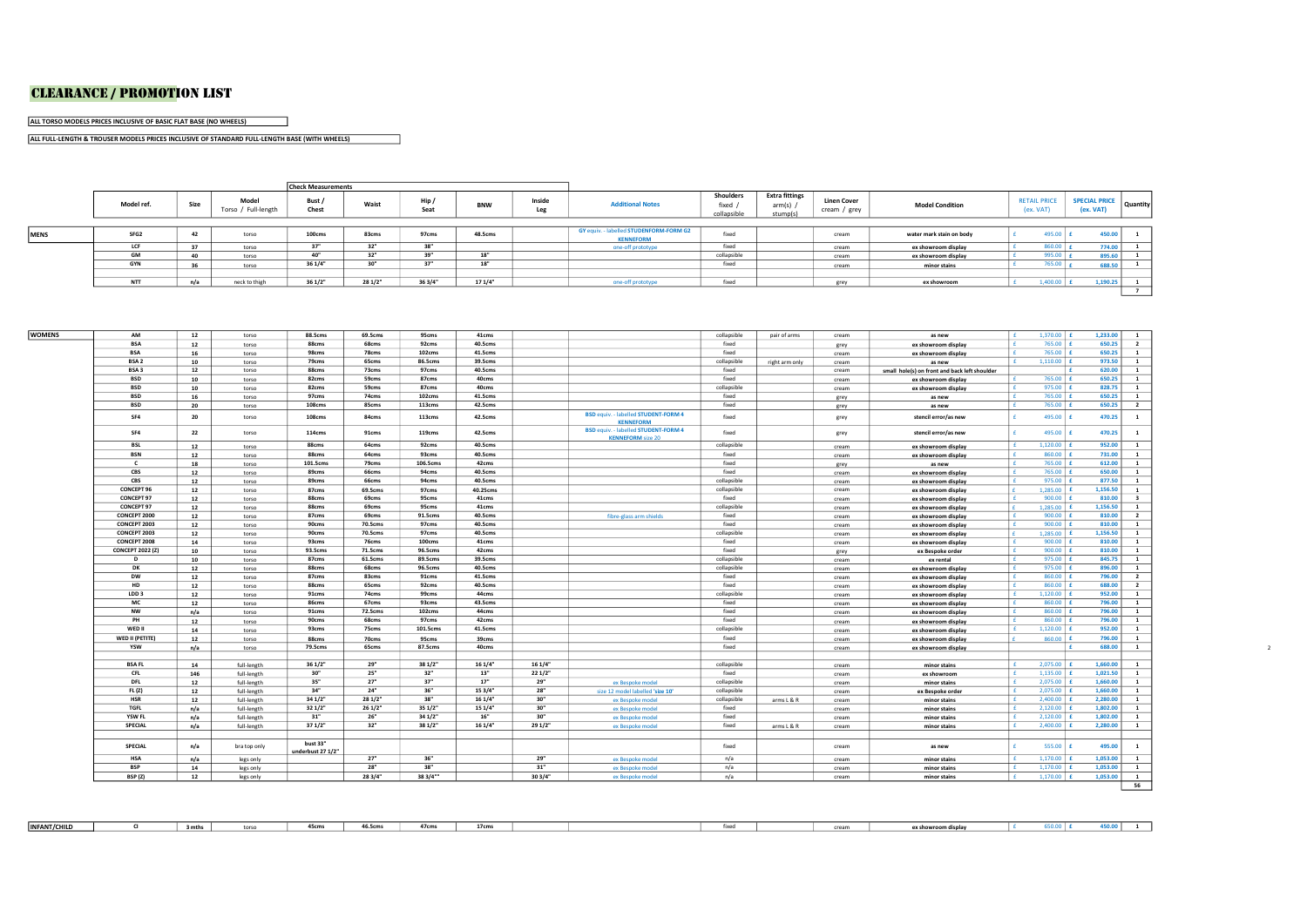## CLEARANCE / pRomotioN LiSt

ALL TORSO MODELS PRICES INCLUSIVE OF BASIC FLAT BASE (NO WHEELS)

ALL FULL-LENGTH & TROUSER MODELS PRICES INCLUSIVE OF STANDARD FULL-LENGTH BASE (WITH WHEELS)

an an

|             |            |                                                         |               | <b>Check Measurements</b> |              |         |               |                         |                                                             |                                                 |                                    |                        |                                  |  |                            |          |  |
|-------------|------------|---------------------------------------------------------|---------------|---------------------------|--------------|---------|---------------|-------------------------|-------------------------------------------------------------|-------------------------------------------------|------------------------------------|------------------------|----------------------------------|--|----------------------------|----------|--|
|             | Model ref. | Model<br>Bust /<br>Size<br>Torso / Full-length<br>Chest |               | Waist                     | Hip/<br>Seat |         | Inside<br>Leg | <b>Additional Notes</b> | Shoulders<br>fixed<br>collapsible                           | <b>Extra fittings</b><br>$arm(s)$ /<br>stump(s) | <b>Linen Cover</b><br>cream / grey | <b>Model Condition</b> | <b>RETAIL PRICE</b><br>(ex. VAT) |  | SPECIAL PRICE<br>(ex. VAT) | Quantity |  |
|             |            |                                                         |               |                           |              |         |               |                         |                                                             |                                                 |                                    |                        |                                  |  |                            |          |  |
| <b>MENS</b> | SFG2       |                                                         | torso         | 100cms                    | 83cms        | 97cms   | 48.5cms       |                         | GY equiv. - labelled STUDENFORM-FORM G2<br><b>KENNEFORM</b> | fixed                                           |                                    | cream                  | water mark stain on body         |  | 495.00                     | 450.00   |  |
|             | LCF        |                                                         | torso         | 271                       | 32"          | 38"     |               |                         | one-off prototype                                           | fixed                                           |                                    | cream                  | ex showroom display              |  | 860.00                     | 774.00   |  |
|             | <b>GM</b>  |                                                         | torso         | $\mathbf{A}$              | 32"          | 39"     | 18"           |                         |                                                             | collapsible                                     |                                    | cream                  | ex showroom display              |  | 995.00                     | 895.6    |  |
|             | <b>GYN</b> |                                                         | torso         | 36 1/4"                   | 30"          | 37"     | 18"           |                         |                                                             | fixed                                           |                                    | cream                  | minor stains                     |  | 765.00                     | 688.50   |  |
|             |            |                                                         |               |                           |              |         |               |                         |                                                             |                                                 |                                    |                        |                                  |  |                            |          |  |
|             | <b>NTT</b> | n/a                                                     | neck to thigh | 36 1/2"                   | 28 1/2"      | 36 3/4" | 171/4"        |                         | one-off prototype                                           | fixed                                           |                                    | grev                   | ex showroom                      |  | $1,400.00$ £               | 1.190.25 |  |
|             |            |                                                         |               |                           |              |         |               |                         |                                                             |                                                 |                                    |                        |                                  |  |                            |          |  |

| AM                      | 12  | torso        | <b>88.5cms</b>                | 69.5cms | 95cms    | 41cms    |         |                                                                         | collapsible | pair of arms   | cream | as new                                        | I£.          | 1,370.00 £   | 1,233.00 | $\mathbf{1}$            |  |
|-------------------------|-----|--------------|-------------------------------|---------|----------|----------|---------|-------------------------------------------------------------------------|-------------|----------------|-------|-----------------------------------------------|--------------|--------------|----------|-------------------------|--|
| <b>BSA</b>              | 12  | torso        | 88cms                         | 68cms   | 92cms    | 40.5cms  |         |                                                                         | fixed       |                | grey  | ex showroom display                           | l £.         | 765.00       | 650.25   | $\overline{\mathbf{2}}$ |  |
| <b>BSA</b>              | 16  | torso        | 98cms                         | 78cms   | 102cms   | 41.5cms  |         |                                                                         | fixed       |                | cream | ex showroom display                           | l £.         | 765.00       | 650.25   | <b>1</b>                |  |
| BSA <sub>2</sub>        | 10  | torso        | 79cms                         | 65cms   | 86.5cms  | 39.5cms  |         |                                                                         | collapsible | right arm only | cream | as new                                        | l e.         | $1,110.00$ £ | 973.50   | $\mathbf{1}$            |  |
| BSA <sub>3</sub>        | 12  | torso        | 88cms                         | 73cms   | 97cms    | 40.5cms  |         |                                                                         | fixed       |                | cream | small hole(s) on front and back left shoulder |              |              | 620.00   | $\mathbf{1}$            |  |
| <b>BSD</b>              | 10  | torso        | 82cms                         | 59cms   | 87cms    | 40cms    |         |                                                                         | fixed       |                | cream | ex showroom display                           | $\mathsf{F}$ | 765.00 £     | 650.25   | $\mathbf{1}$            |  |
| <b>BSD</b>              | 10  | torso        | 82cms                         | 59cms   | 87cms    | 40cms    |         |                                                                         | collapsible |                | cream | ex showroom display                           | Ι£           | $975.00$ £   | 828.75   | $\mathbf{1}$            |  |
| <b>BSD</b>              | 16  | torso        | 97cms                         | 74cms   | 102cms   | 41.5cms  |         |                                                                         | fixed       |                | grey  | as new                                        | l £.         | 765.00 £     | 650.25   | $\mathbf{1}$            |  |
| <b>BSD</b>              | 20  | torso        | 108cms                        | 85cms   | 113cms   | 42.5cms  |         |                                                                         | fixed       |                | grey  | as new                                        | Ι£           | 765.00 £     | 650.25   | $\overline{2}$          |  |
| SF4                     | 20  | torso        | 108cms                        | 84cms   | 113cms   | 42.5cms  |         | <b>BSD equiv. - labelled STUDENT-FORM 4</b><br><b>KENNEFORM</b>         | fixed       |                | grey  | stencil error/as new                          |              | 495.00       | 470.25   | $\mathbf{1}$            |  |
| SF4                     | 22  | torso        | 114cms                        | 91cms   | 119cms   | 42.5cms  |         | <b>BSD equiv. - labelled STUDENT-FORM 4</b><br><b>KENNEFORM</b> size 20 | fixed       |                | grey  | stencil error/as new                          |              | 495.00       | 470.25   | $\mathbf{1}$            |  |
| BSL                     | 12  | torso        | 88cms                         | 64cms   | 92cms    | 40.5cms  |         |                                                                         | collapsible |                | cream | ex showroom display                           | E            | $1,120.00$ £ | 952.00   | $\mathbf{1}$            |  |
| <b>BSN</b>              | 12  | torso        | 88cms                         | 64cms   | 93cms    | 40.5cms  |         |                                                                         | fixed       |                | cream | ex showroom display                           | Ι£           | $860.00$ £   | 731.00   | <sup>1</sup>            |  |
| $\epsilon$              | 18  | torso        | 101.5cms                      | 79cms   | 106.5cms | 42cms    |         |                                                                         | fixed       |                | grey  | as new                                        | I£.          | 765.00       | 612.00   | <b>1</b>                |  |
| CBS                     | 12  | torso        | 89cms                         | 66cms   | 94cms    | 40.5cms  |         |                                                                         | fixed       |                | cream | ex showroom display                           | $\mathbf{f}$ | 765.00       | 650.00   | $\mathbf{1}$            |  |
| CBS                     | 12  | torso        | 89cms                         | 66cms   | 94cms    | 40.5cms  |         |                                                                         | collapsible |                | cream | ex showroom display                           | Ι£           | 975.00       | 877.50   | $\mathbf{1}$            |  |
| CONCEPT 96              | 12  | torso        | 87cms                         | 69.5cms | 97cms    | 40.25cms |         |                                                                         | collapsible |                | cream | ex showroom display                           |              | $1.285.00$ £ | 1.156.50 | $\mathbf{1}$            |  |
| CONCEPT 97              | 12  | torso        | 88cms                         | 69cms   | 95cms    | 41cms    |         |                                                                         | fixed       |                | cream | ex showroom display                           | Ι£           | 900.00       | 810.00   | $\overline{\mathbf{3}}$ |  |
| CONCEPT 97              | 12  | torso        | 88cms                         | 69cms   | 95cms    | 41cms    |         |                                                                         | collapsible |                | cream | ex showroom display                           |              | $1.285.00$ £ | 1,156.50 | <sup>1</sup>            |  |
| CONCEPT 2000            | 12  | torso        | 87cms                         | 69cms   | 91.5cms  | 40.5cms  |         | fibre-glass arm shields                                                 | fixed       |                | cream | ex showroom display                           | l £.         | 900.00       | 810.00   | $\overline{2}$          |  |
| CONCEPT 2003            | 12  | torso        | 90cms                         | 70.5cms | 97cms    | 40.5cms  |         |                                                                         | fixed       |                | cream | ex showroom display                           | l £.         | 900.00       | 810.00   | $\mathbf{1}$            |  |
| CONCEPT 2003            | 12  | torso        | 90cms                         | 70.5cms | 97cms    | 40.5cms  |         |                                                                         | collapsible |                | cream | ex showroom display                           |              | $1.285.00$ £ | 1,156.50 | $\overline{1}$          |  |
| CONCEPT 2008            | 14  | torso        | 93cms                         | 76cms   | 100cms   | 41cms    |         |                                                                         | fixed       |                | cream | ex showroom display                           | Ι£           | $900.00$ $f$ | 810.00   | $\mathbf{1}$            |  |
| <b>CONCEPT 2022 (Z)</b> | 10  | torso        | 93.5cms                       | 71.5cms | 96.5cms  | 42cms    |         |                                                                         | fixed       |                | grey  | ex Bespoke order                              | Ι£           | $900.00$ £   | 810.00   | $\mathbf{1}$            |  |
| D                       | 10  | torso        | 87cms                         | 61.5cms | 89.5cms  | 39.5cms  |         |                                                                         | collapsible |                | cream | ex rental                                     | E            | $975.00$ £   | 845.75   | $\mathbf{1}$            |  |
| DK                      | 12  | torso        | 88cms                         | 68cms   | 96.5cms  | 40.5cms  |         |                                                                         | collapsible |                | cream | ex showroom display                           | E            | 975.00 £     | 896.00   | <sup>1</sup>            |  |
| <b>DW</b>               | 12  | torso        | 87cms                         | 83cms   | 91cms    | 41.5cms  |         |                                                                         | fixed       |                | cream | ex showroom display                           | I£.          | $860.00$ $f$ | 796.00   | $\overline{2}$          |  |
| <b>HD</b>               | 12  | torso        | 88cms                         | 65cms   | 92cms    | 40.5cms  |         |                                                                         | fixed       |                | cream | ex showroom display                           | Ι£           | $860.00$ £   | 688.00   | $\overline{\mathbf{2}}$ |  |
| LDD <sub>3</sub>        | 12  | torso        | 91cms                         | 74cms   | 99cms    | 44cms    |         |                                                                         | collapsible |                | cream | ex showroom display                           | E            | $1,120.00$ £ | 952.00   | <b>1</b>                |  |
| MC                      | 12  | torso        | 86cms                         | 67cms   | 93cms    | 43.5cms  |         |                                                                         | fixed       |                | cream | ex showroom display                           | E            | 860.00 £     | 796.00   | $\mathbf{1}$            |  |
| <b>NW</b>               | n/a | torso        | 91cms                         | 72.5cms | 102cms   | 44cms    |         |                                                                         | fixed       |                | cream | ex showroom display                           | E            | 860.00 £     | 796.00   | <b>1</b>                |  |
| PH                      | 12  | torso        | 90cms                         | 68cms   | 97cms    | 42cms    |         |                                                                         | fixed       |                | cream | ex showroom display                           | Ι£           | $860.00$ $E$ | 796.00   | <b>1</b>                |  |
| WED II                  | 14  | torso        | 93cms                         | 75cms   | 101.5cms | 41.5cms  |         |                                                                         | collapsible |                | cream | ex showroom display                           | 1 £          | $1,120.00$ £ | 952.00   | <b>1</b>                |  |
| WED II (PETITE)         | 12  | torso        | 88cms                         | 70cms   | 95cms    | 39cms    |         |                                                                         | fixed       |                | cream | ex showroom display                           |              | 860.00       | 796.00   | <b>1</b>                |  |
| YSW                     |     |              | 79.5cms                       | 65cms   | 87.5cms  | 40cms    |         |                                                                         | fixed       |                |       |                                               |              |              | 688.00   | $\mathbf{1}$            |  |
|                         | n/a | torso        |                               |         |          |          |         |                                                                         |             |                | cream | ex showroom display                           |              |              |          |                         |  |
| <b>BSAFL</b>            | 14  | full-length  | 361/2"                        | 29"     | 381/2"   | 16 1/4"  | 16 1/4" |                                                                         | collapsible |                | cream | minor stains                                  | l £          | $2.075.00$ £ | 1,660.00 | $\overline{1}$          |  |
| CFL                     | 146 | full-length  | 30"                           | 25"     | 32"      | 13"      | 221/2"  |                                                                         | fixed       |                | cream | ex showroom                                   | I£.          | $1,135.00$ £ | 1,021.50 | $\mathbf{1}$            |  |
| <b>DFL</b>              | 12  | full-length  | 35"                           | 27"     | 37"      | 17"      | 29"     | ex Bespoke model                                                        | collapsible |                | cream | minor stains                                  | l £          | $2,075.00$ £ | 1,660.00 | $\mathbf{1}$            |  |
| FL(Z)                   | 12  | full-length  | 34"                           | 24"     | 36"      | 15 3/4"  | 28"     | size 12 model labelled 'size 10'                                        | collapsible |                | cream | ex Bespoke order                              | l £          | 2.075.00     | 1,660.00 | <b>1</b>                |  |
| <b>HSR</b>              | 12  | full-length  | 341/2"                        | 28 1/2" | 38"      | 16 1/4"  | 30"     | ex Bespoke model                                                        | collapsible | arms L & R     | cream | minor stains                                  | l f.         | 2,400.00     | 2,280,00 | $\mathbf{1}$            |  |
| <b>TGFL</b>             | n/a | full-length  | 32 1/2"                       | 26 1/2" | 351/2"   | 15 1/4"  | 30"     | ex Bespoke model                                                        | fixed       |                | cream | minor stains                                  | l f.         | 2,120.00     | 1,802.00 | $\mathbf{1}$            |  |
| YSW FL                  | n/a | full-length  | 31"                           | 26"     | 34 1/2"  | 16"      | 30"     | ex Bespoke model                                                        | fixed       |                | cream | minor stains                                  | l f.         | 2.120.00     | 1.802.00 | $\mathbf{1}$            |  |
| SPECIAL                 |     |              | 371/2"                        | 32"     | 38 1/2"  | 16 1/4"  | 29 1/2" | ex Bespoke model                                                        | fixed       | arms L & R     | cream | minor stains                                  | l f          | 2,400.00     | 2,280.00 | $\mathbf{1}$            |  |
|                         | n/a | full-length  |                               |         |          |          |         |                                                                         |             |                |       |                                               |              |              |          |                         |  |
| SPECIAL                 | n/a | bra top only | bust 33"<br>underbust 27 1/2" |         |          |          |         |                                                                         | fixed       |                | cream | as new                                        |              | 555.00       | 495.00   | $\overline{1}$          |  |
| <b>HSA</b>              | n/a | legs only    |                               | 27"     | 36"      |          | 29"     | ex Bespoke model                                                        | n/a         |                | cream | minor stains                                  | 1 £          | 1,170.00     | 1,053.00 | $\mathbf{1}$            |  |
| <b>BSP</b>              | 14  | legs only    |                               | 28"     | 38"      |          | 31"     | ex Bespoke model                                                        | n/a         |                | cream | minor stains                                  | E            | $1,170.00$ £ | 1,053.00 | <b>1</b>                |  |
| BSP (Z)                 | 12  | legs only    |                               | 28 3/4" | 38 3/4"" |          | 303/4"  | ex Bespoke model                                                        | n/a         |                | cream | minor stains                                  | $\mathbf{f}$ | 1.170.00     | 1.053.00 | <b>1</b>                |  |

| 450.00 1<br>46.5cms<br><b>INFANT/CHILD</b><br>45cms<br>47cms<br>17cms<br>$650.00$ $f$<br>fixed<br>3 mths<br>cream<br>torso and the state of the state of the state of the state of the state of the state of the state of the state of the state of the state of the state of the state of the state of the state of the state of the state of the<br>ex showroom display |
|---------------------------------------------------------------------------------------------------------------------------------------------------------------------------------------------------------------------------------------------------------------------------------------------------------------------------------------------------------------------------|
|---------------------------------------------------------------------------------------------------------------------------------------------------------------------------------------------------------------------------------------------------------------------------------------------------------------------------------------------------------------------------|